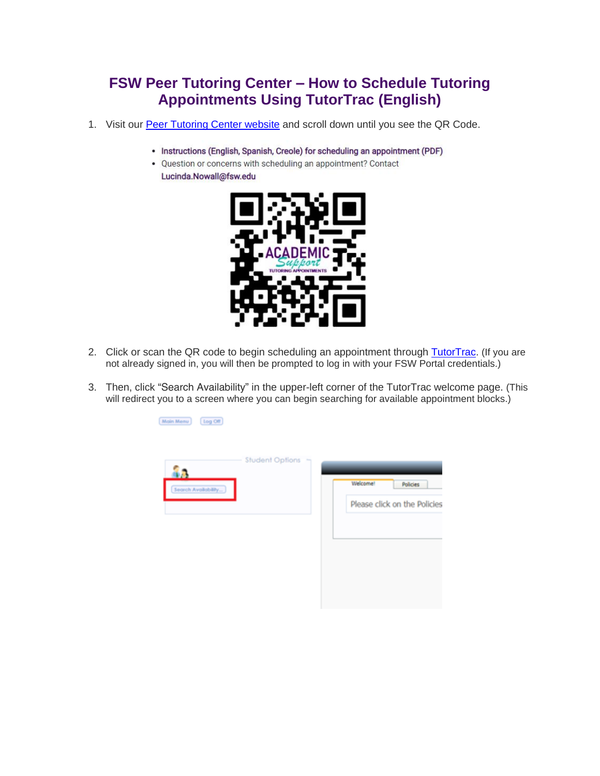## **FSW Peer Tutoring Center – How to Schedule Tutoring Appointments Using TutorTrac (English)**

- 1. Visit our [Peer Tutoring Center website](https://www.fsw.edu/academicsupport/peertutoring) and scroll down until you see the QR Code.
	- Instructions (English, Spanish, Creole) for scheduling an appointment (PDF)
	- Question or concerns with scheduling an appointment? Contact Lucinda.Nowall@fsw.edu



- 2. Click or scan the QR code to begin scheduling an appointment through [TutorTrac.](https://fsw.go-redrock.com/) *(If you are not already signed in, you will then be prompted to log in with your FSW Portal credentials.)*
- 3. Then, click "Search Availability" in the upper-left corner of the TutorTrac welcome page. *(This will redirect you to a screen where you can begin searching for available appointment blocks.)*

Main Menu Log Off

| â.                  | <b>Student Options</b> |                              |
|---------------------|------------------------|------------------------------|
| Search Availability |                        | Welcome!<br>Policies         |
|                     |                        | Please click on the Policies |
|                     |                        |                              |
|                     |                        |                              |
|                     |                        |                              |
|                     |                        |                              |
|                     |                        |                              |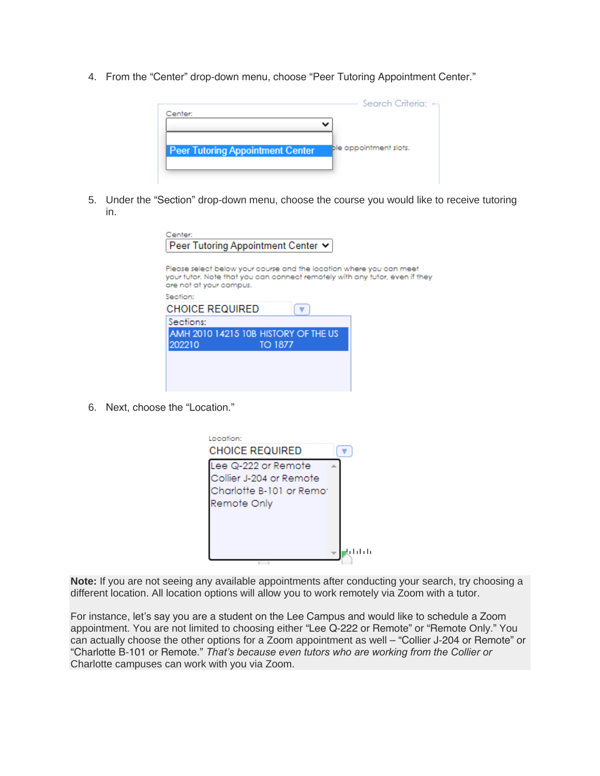4. From the "Center" drop-down menu, choose "Peer Tutoring Appointment Center."



5. Under the "Section" drop-down menu, choose the course you would like to receive tutoring in.

| Center:<br>Peer Tutoring Appointment Center ∨                                                                                                                                 |  |
|-------------------------------------------------------------------------------------------------------------------------------------------------------------------------------|--|
| Please select below your course and the location where you can meet<br>your tutor. Note that you can connect remotely with any tutor, even if they<br>are not at your campus. |  |
| Section:                                                                                                                                                                      |  |
| <b>CHOICE REQUIRED</b>                                                                                                                                                        |  |
| Sections:                                                                                                                                                                     |  |
| AMH 2010 14215 10B HISTORY OF THE US<br>202210<br>TO 1877                                                                                                                     |  |
|                                                                                                                                                                               |  |
|                                                                                                                                                                               |  |
|                                                                                                                                                                               |  |
|                                                                                                                                                                               |  |

6. Next, choose the "Location."

| Location:<br><b>CHOICE REQUIRED</b>                                                       |         |
|-------------------------------------------------------------------------------------------|---------|
| Lee Q-222 or Remote<br>Collier J-204 or Remote<br>Charlotte B-101 or Remot<br>Remote Only |         |
|                                                                                           | 4111111 |

*Note: If you are not seeing any available appointments after conducting your search, try choosing a different location. All location options will allow you to work remotely via Zoom with a tutor.*

For instance, let's say you are a student on the Lee Campus and would like to schedule a Zoom appointment. You are not limited to choosing either "Lee Q-222 or Remote" or "Remote Only." You can actually choose the other options for a Zoom appointment as well – "Collier J-204 or Remote" or "Charlotte B-101 or Remote." *That's because even tutors who are working from the Collier or Charlotte campuses can work with you via Zoom.*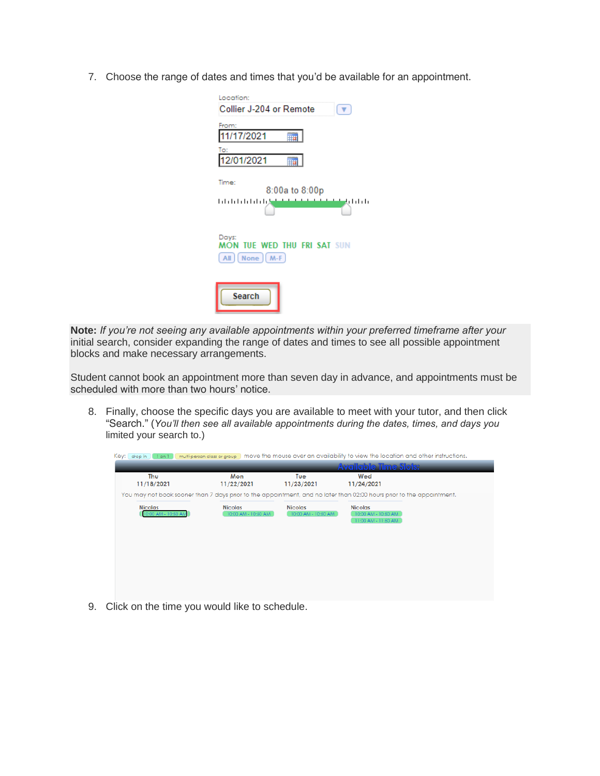7. Choose the range of dates and times that you'd be available for an appointment.

| Location:<br>Collier J-204 or Remote                                    |
|-------------------------------------------------------------------------|
| From:<br>11/17/2021                                                     |
| To:<br>12/01/2021                                                       |
| Time:<br>8:00a to 8:00p<br>والماما وإسلامها<br>وإنزار التلبانا بالتلبان |
| Days:<br><b>MON TUE WED THU FRI SAT SUN</b><br>$All    None    M-F$     |
| Search                                                                  |

*Note: If you're not seeing any available appointments within your preferred timeframe after your initial search, consider expanding the range of dates and times to see all possible appointment blocks and make necessary arrangements.*

Student cannot book an appointment more than seven day in advance, and appointments must be scheduled with more than two hours' notice.

8. Finally, choose the specific days you are available to meet with your tutor, and then click "Search." (*You'll then see all available appointments during the dates, times, and days you limited your search to.)*

| Key: drop in 1<br>$1$ on $1$          |                                       |                                       | multi-person class or group move the mouse over an availability to view the location and other instructions.          |
|---------------------------------------|---------------------------------------|---------------------------------------|-----------------------------------------------------------------------------------------------------------------------|
|                                       |                                       |                                       | <b>Avgilgble Time Slots:</b>                                                                                          |
| Thu<br>11/18/2021                     | Mon<br>11/22/2021                     | Tue<br>11/23/2021                     | Wed<br>11/24/2021                                                                                                     |
|                                       |                                       |                                       | You may not book sooner than 7 days prior to the appointment, and no later than 02:00 hours prior to the appointment. |
| <b>Nicolas</b><br>10:00 AM - 10:50 AM | <b>Nicolas</b><br>10:00 AM - 10:50 AM | <b>Nicolas</b><br>10:00 AM - 10:50 AM | <b>Nicolas</b><br>10:00 AM - 10:50 AM<br>11:00 AM - 11:50 AM                                                          |
|                                       |                                       |                                       |                                                                                                                       |
|                                       |                                       |                                       |                                                                                                                       |
|                                       |                                       |                                       |                                                                                                                       |
|                                       |                                       |                                       |                                                                                                                       |

9. Click on the time you would like to schedule.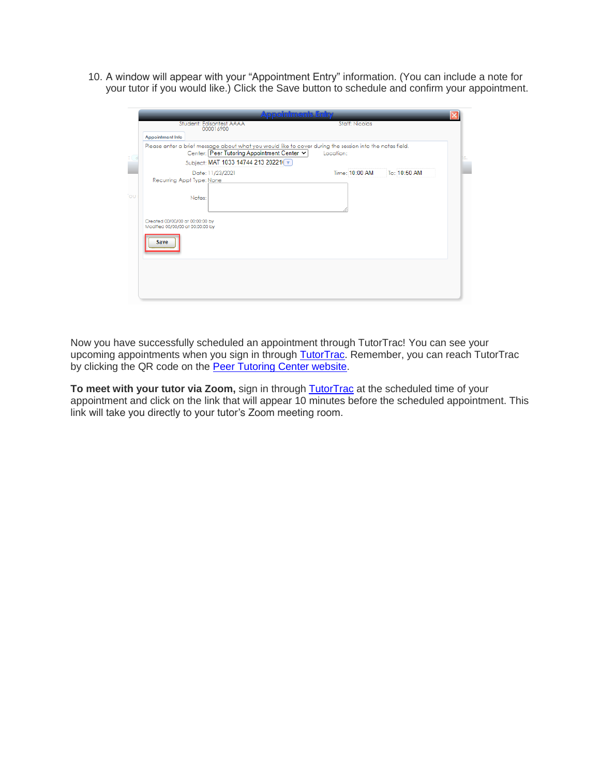10. A window will appear with your "Appointment Entry" information. (You can include a note for your tutor if you would like.) Click the Save button to schedule and confirm your appointment.

|    | <b>Appointments Entry</b><br>Student: Edisontest AAAA<br><b>Staff: Nicolas</b><br>000016900                                                                                                              |  |
|----|----------------------------------------------------------------------------------------------------------------------------------------------------------------------------------------------------------|--|
|    | <b>Appointment Info</b>                                                                                                                                                                                  |  |
|    | Please enter a brief message about what you would like to cover during the session into the notes field.<br>Center: Peer Tutoring Appointment Center v<br>Location:<br>Subject: MAT 1033 14744 213 20221 |  |
|    | Time: 10:00 AM<br>To: 10:50 AM<br>Date: 11/23/2021                                                                                                                                                       |  |
|    | Recurring Appt Type: None                                                                                                                                                                                |  |
| ЭU | Notes:                                                                                                                                                                                                   |  |
|    | Created 00/00/00 at 00:00:00 by<br>Modified 00/00/00 at 00:00:00 by                                                                                                                                      |  |
|    | <b>Save</b>                                                                                                                                                                                              |  |
|    |                                                                                                                                                                                                          |  |
|    |                                                                                                                                                                                                          |  |
|    |                                                                                                                                                                                                          |  |

Now you have successfully scheduled an appointment through TutorTrac! You can see your upcoming appointments when you sign in through **TutorTrac**. Remember, you can reach TutorTrac by clicking the QR code on the [Peer Tutoring Center website.](https://www.fsw.edu/academicsupport/peertutoring)

To meet with your tutor via Zoom, sign in through **[TutorTrac](https://fsw.go-redrock.com/)** at the scheduled time of your appointment and click on the link that will appear 10 minutes before the scheduled appointment. This link will take you directly to your tutor's Zoom meeting room.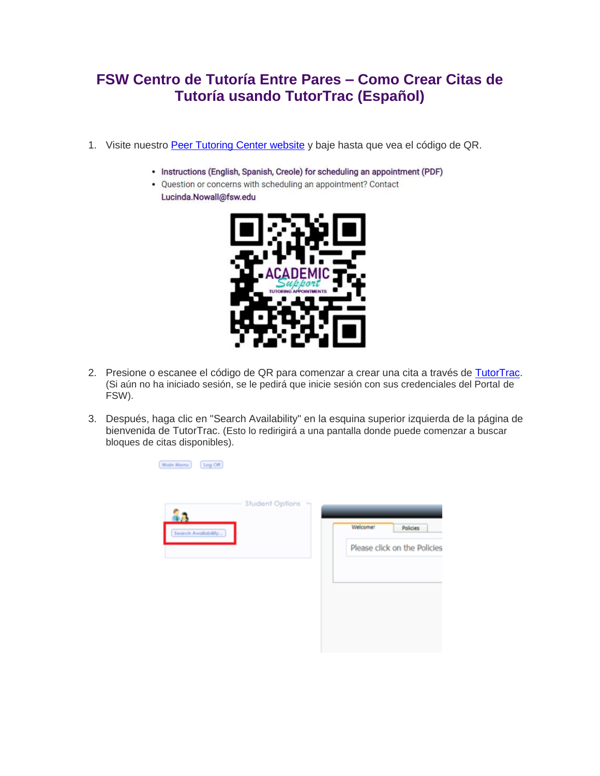## **FSW Centro de Tutoría Entre Pares – Como Crear Citas de Tutoría usando TutorTrac (Español)**

- 1. Visite nuestro [Peer Tutoring Center website](https://www.fsw.edu/academicsupport/peertutoring) y baje hasta que vea el código de QR.
	- Instructions (English, Spanish, Creole) for scheduling an appointment (PDF)
	- Question or concerns with scheduling an appointment? Contact Lucinda.Nowall@fsw.edu



- 2. Presione o escanee el código de QR para comenzar a crear una cita a través de [TutorTrac.](https://fsw.go-redrock.com/) *(Si aún no ha iniciado sesión, se le pedirá que inicie sesión con sus credenciales del Portal de FSW).*
- 3. Después, haga clic en "Search Availability" en la esquina superior izquierda de la página de bienvenida de TutorTrac. *(Esto lo redirigirá a una pantalla donde puede comenzar a buscar bloques de citas disponibles).*

| Log Off<br>Main Menu      |                        |                             |
|---------------------------|------------------------|-----------------------------|
|                           | <b>Student Options</b> |                             |
| 88<br>Search Availability |                        | Welcome!<br><b>Policies</b> |
|                           |                        | Please click on the Policie |
|                           |                        |                             |
|                           |                        |                             |
|                           |                        |                             |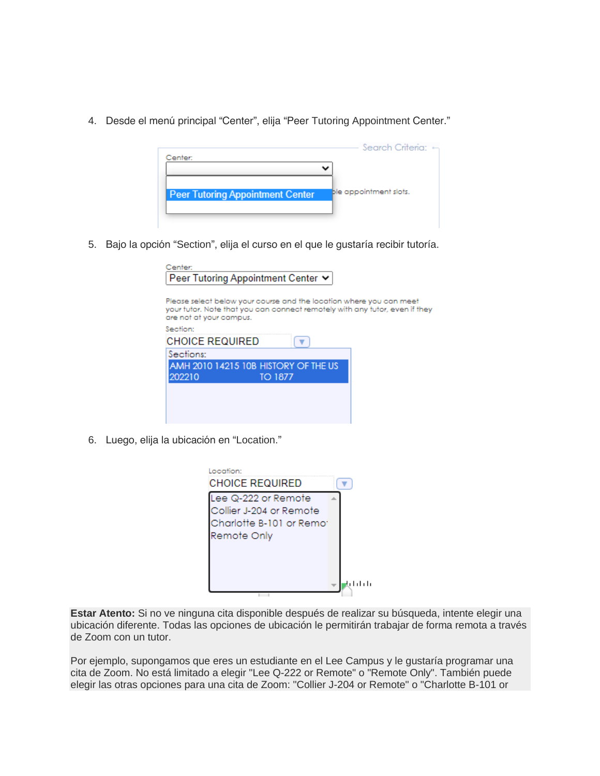4. Desde el menú principal "Center", elija "Peer Tutoring Appointment Center."



5. Bajo la opción "Section", elija el curso en el que le gustaría recibir tutoría.

| Center:                                                                                                                                                                       |  |
|-------------------------------------------------------------------------------------------------------------------------------------------------------------------------------|--|
| Peer Tutoring Appointment Center ↓                                                                                                                                            |  |
|                                                                                                                                                                               |  |
| Please select below your course and the location where you can meet<br>your tutor. Note that you can connect remotely with any tutor, even if they<br>are not at your campus. |  |
| Section:                                                                                                                                                                      |  |
| <b>CHOICE REQUIRED</b>                                                                                                                                                        |  |
| Sections:                                                                                                                                                                     |  |
| AMH 2010 14215 10B HISTORY OF THE US                                                                                                                                          |  |
| 202210<br>TO 1877                                                                                                                                                             |  |
|                                                                                                                                                                               |  |
|                                                                                                                                                                               |  |
|                                                                                                                                                                               |  |
|                                                                                                                                                                               |  |

6. Luego, elija la ubicación en "Location."

| Location:<br><b>CHOICE REQUIRED</b>                                                       |  |
|-------------------------------------------------------------------------------------------|--|
| Lee Q-222 or Remote<br>Collier J-204 or Remote<br>Charlotte B-101 or Remo:<br>Remote Only |  |
|                                                                                           |  |

*Estar Atento: Si no ve ninguna cita disponible después de realizar su búsqueda, intente elegir una ubicación diferente. Todas las opciones de ubicación le permitirán trabajar de forma remota a través de Zoom con un tutor.*

Por ejemplo, supongamos que eres un estudiante en el Lee Campus y le gustaría programar una cita de Zoom. No está limitado a elegir "Lee Q-222 or Remote" o "Remote Only". También puede elegir las otras opciones para una cita de Zoom: "Collier J-204 or Remote" o "Charlotte B-101 or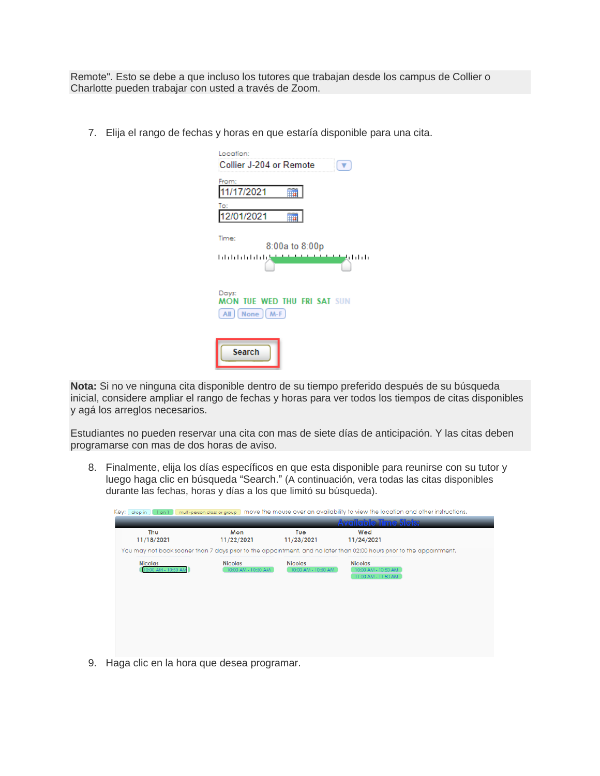Remote". *Esto se debe a que incluso los tutores que trabajan desde los campus de Collier o Charlotte pueden trabajar con usted a través de Zoom.*

7. Elija el rango de fechas y horas en que estaría disponible para una cita.

| Location:<br>Collier J-204 or Remote                                    |
|-------------------------------------------------------------------------|
| From:<br>11/17/2021                                                     |
| To:<br>12/01/2021                                                       |
| Time:<br>8:00a to 8:00p<br>والململ والمناطف<br>وإرزار ارزار ارزار ارزار |
| Days:<br>MON TUE WED THU FRI SAT SUN<br>All   None   M-F                |
| <b>Search</b>                                                           |

*Nota: Si no ve ninguna cita disponible dentro de su tiempo preferido después de su búsqueda inicial, considere ampliar el rango de fechas y horas para ver todos los tiempos de citas disponibles y agá los arreglos necesarios.*

Estudiantes no pueden reservar una cita con mas de siete días de anticipación. Y las citas deben programarse con mas de dos horas de aviso.

8. Finalmente, elija los días específicos en que esta disponible para reunirse con su tutor y luego haga clic en búsqueda "Search." (*A continuación, vera todas las citas disponibles durante las fechas, horas y días a los que limitó su búsqueda).*

| Key: drop in 1 on 1                   |                                       |                                       | multi-person class or group move the mouse over an availability to view the location and other instructions.          |  |
|---------------------------------------|---------------------------------------|---------------------------------------|-----------------------------------------------------------------------------------------------------------------------|--|
|                                       |                                       |                                       | <b>Available Time Slois:</b>                                                                                          |  |
| Thu<br>11/18/2021                     | Mon<br>11/22/2021                     | Tue<br>11/23/2021                     | Wed<br>11/24/2021                                                                                                     |  |
|                                       |                                       |                                       | You may not book sooner than 7 days prior to the appointment, and no later than 02:00 hours prior to the appointment. |  |
| <b>Nicolas</b><br>10:00 AM - 10:50 AI | <b>Nicolas</b><br>10:00 AM - 10:50 AM | <b>Nicolas</b><br>10:00 AM - 10:50 AM | <b>Nicolas</b><br>10:00 AM - 10:50 AM<br>11:00 AM - 11:50 AM                                                          |  |
|                                       |                                       |                                       |                                                                                                                       |  |
|                                       |                                       |                                       |                                                                                                                       |  |

9. Haga clic en la hora que desea programar.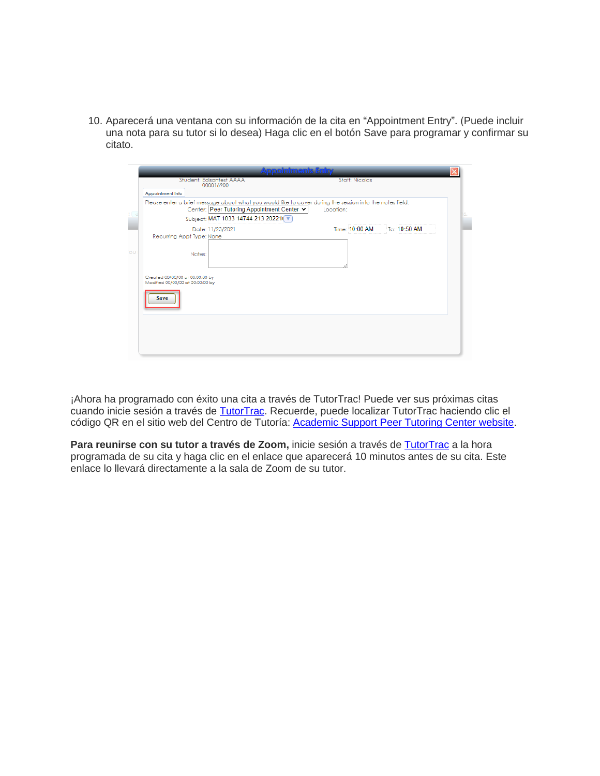10. Aparecerá una ventana con su información de la cita en "Appointment Entry". (Puede incluir una nota para su tutor si lo desea) Haga clic en el botón Save para programar y confirmar su citato.

|     |                                                                     |                                                                                                                                                                                             | <b>Appointments Entry</b> |                       |              |     |
|-----|---------------------------------------------------------------------|---------------------------------------------------------------------------------------------------------------------------------------------------------------------------------------------|---------------------------|-----------------------|--------------|-----|
|     |                                                                     | Student: Edisontest AAAA<br>000016900                                                                                                                                                       |                           | <b>Staff: Nicolas</b> |              |     |
|     | <b>Appointment Info</b>                                             |                                                                                                                                                                                             |                           |                       |              |     |
|     |                                                                     | Please enter a brief message about what you would like to cover during the session into the notes field.<br>Center: Peer Tutoring Appointment Center v<br>Subject: MAT 1033 14744 213 20221 | Location:                 |                       |              | ns. |
|     |                                                                     | Date: 11/23/2021                                                                                                                                                                            |                           | Time: 10:00 AM        | To: 10:50 AM |     |
|     | Recurring Appt Type: None                                           |                                                                                                                                                                                             |                           |                       |              |     |
| 'ou |                                                                     | Notes:                                                                                                                                                                                      |                           |                       |              |     |
|     | Created 00/00/00 at 00:00:00 by<br>Modified 00/00/00 at 00:00:00 by |                                                                                                                                                                                             |                           |                       |              |     |
|     | <b>Save</b>                                                         |                                                                                                                                                                                             |                           |                       |              |     |
|     |                                                                     |                                                                                                                                                                                             |                           |                       |              |     |
|     |                                                                     |                                                                                                                                                                                             |                           |                       |              |     |
|     |                                                                     |                                                                                                                                                                                             |                           |                       |              |     |

¡Ahora ha programado con éxito una cita a través de TutorTrac! Puede ver sus próximas citas cuando inicie sesión a través de [TutorTrac.](https://fsw.go-redrock.com/) Recuerde, puede localizar TutorTrac haciendo clic el código QR en el sitio web del Centro de Tutoría: [Academic Support Peer Tutoring Center website.](https://www.fsw.edu/academicsupport/peertutoring)

Para reunirse con su tutor a través de Zoom, inicie sesión a través de [TutorTrac](https://fsw.go-redrock.com/) a la hora programada de su cita y haga clic en el enlace que aparecerá 10 minutos antes de su cita. Este enlace lo llevará directamente a la sala de Zoom de su tutor.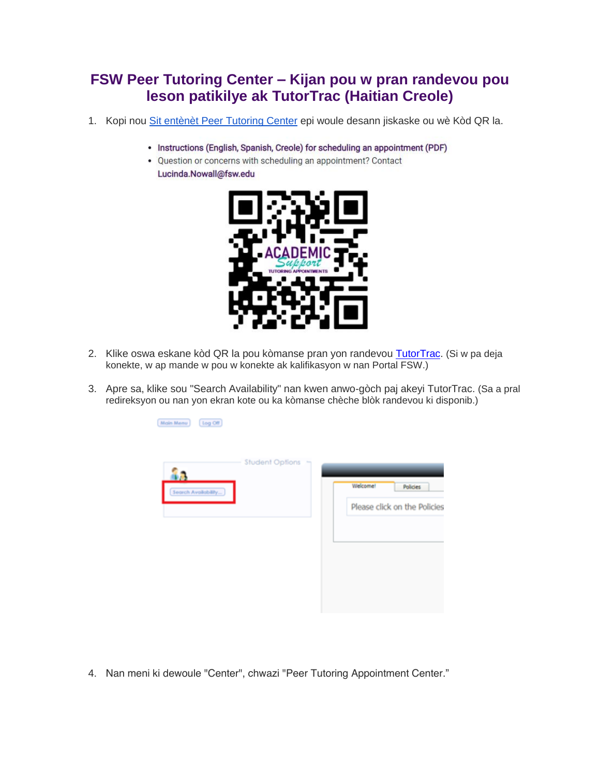## **FSW Peer Tutoring Center – Kijan pou w pran randevou pou leson patikilye ak TutorTrac (Haitian Creole)**

- 1. Kopi nou [Sit entènèt Peer Tutoring Center](http://www.fsw.edu/academicsupport/peertutoring) epi woule desann jiskaske ou wè Kòd QR la.
	- Instructions (English, Spanish, Creole) for scheduling an appointment (PDF)
	- Question or concerns with scheduling an appointment? Contact Lucinda.Nowall@fsw.edu



2. Klike oswa eskane kòd QR la pou kòmanse pran yon randevou [TutorTrac.](https://fsw.go-redrock.com/) *(Si w pa deja konekte, w ap mande w pou w konekte ak kalifikasyon w nan Portal FSW.)*

Main Menu [log Off]

3. Apre sa, klike sou "Search Availability" nan kwen anwo-gòch paj akeyi TutorTrac. *(Sa a pral redireksyon ou nan yon ekran kote ou ka kòmanse chèche blòk randevou ki disponib.)*

| Welcomet<br>Policies         |
|------------------------------|
| Please click on the Policies |
|                              |
|                              |
|                              |
|                              |
|                              |

4. Nan meni ki dewoule "Center", chwazi "Peer Tutoring Appointment Center."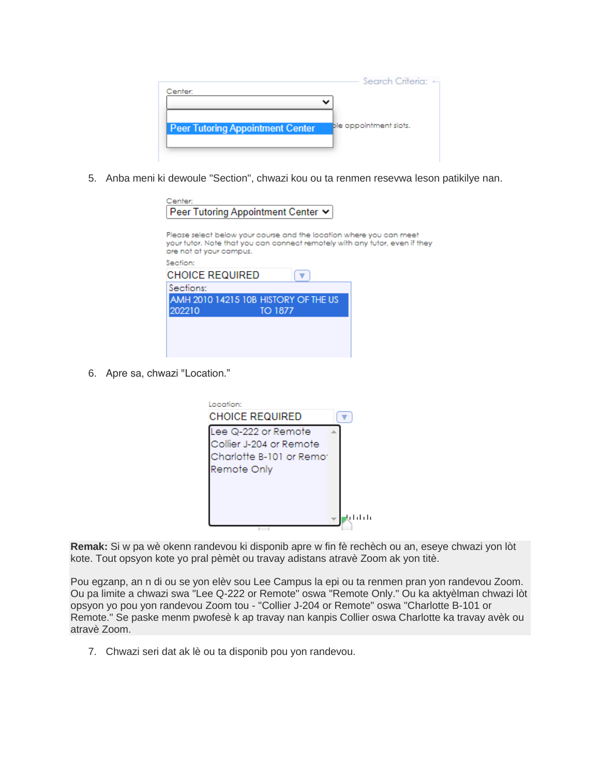| Center:                                 | Search Criteria:       |
|-----------------------------------------|------------------------|
|                                         |                        |
| <b>Peer Tutoring Appointment Center</b> | ble appointment slots. |
|                                         |                        |

5. Anba meni ki dewoule "Section", chwazi kou ou ta renmen resevwa leson patikilye nan.

| Center:<br>Peer Tutoring Appointment Center ↓                                                                                                                                 |  |
|-------------------------------------------------------------------------------------------------------------------------------------------------------------------------------|--|
| Please select below your course and the location where you can meet<br>your tutor. Note that you can connect remotely with any tutor, even if they<br>are not at your campus. |  |
| Section:                                                                                                                                                                      |  |
| <b>CHOICE REQUIRED</b>                                                                                                                                                        |  |
| Sections:                                                                                                                                                                     |  |
| AMH 2010 14215 10B HISTORY OF THE US<br>202210<br>TO 1877                                                                                                                     |  |
|                                                                                                                                                                               |  |
|                                                                                                                                                                               |  |
|                                                                                                                                                                               |  |

6. Apre sa, chwazi "Location."

| occition:<br>CHOICE REQUIRED |  |
|------------------------------|--|
| Lee Q-222 or Remote          |  |
| Collier J-204 or Remote      |  |
| Charlotte B-101 or Remo:     |  |
| Remote Only                  |  |
|                              |  |
|                              |  |
|                              |  |
|                              |  |

*Remak: Si w pa wè okenn randevou ki disponib apre w fin fè rechèch ou an, eseye chwazi yon lòt kote. Tout opsyon kote yo pral pèmèt ou travay adistans atravè Zoom ak yon titè.*

Pou egzanp, an n di ou se yon elèv sou Lee Campus la epi ou ta renmen pran yon randevou Zoom. Ou pa limite a chwazi swa "Lee Q-222 or Remote" oswa "Remote Only." Ou ka aktyèlman chwazi lòt opsyon yo pou yon randevou Zoom tou - "Collier J-204 or Remote" oswa "Charlotte B-101 or Remote." Se paske menm pwofesè k ap travay nan kanpis Collier oswa Charlotte ka travay avèk ou atravè Zoom*.*

7. Chwazi seri dat ak lè ou ta disponib pou yon randevou.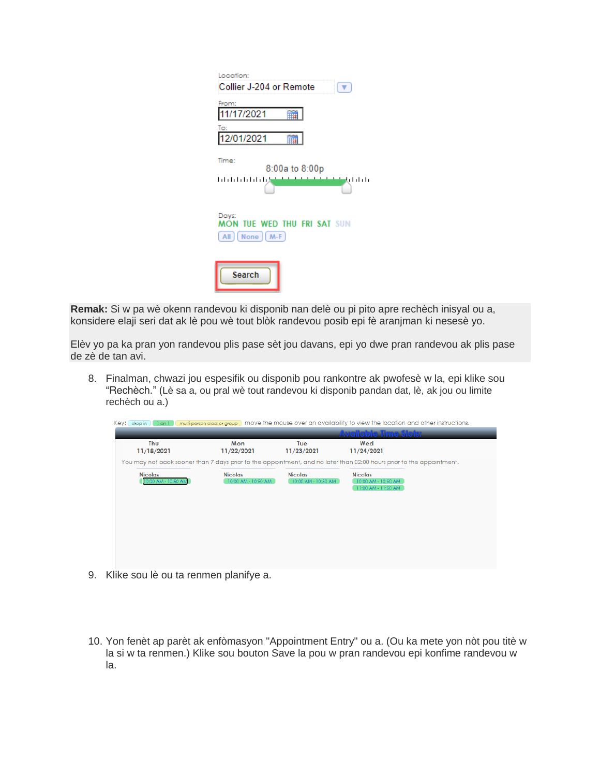| Location:<br>Collier J-204 or Remote                                                                                                                                                                                                                                             |
|----------------------------------------------------------------------------------------------------------------------------------------------------------------------------------------------------------------------------------------------------------------------------------|
| From:<br>11/17/2021<br>To:<br>12/01/2021                                                                                                                                                                                                                                         |
| Time:<br>8:00a to 8:00p<br>ا ایران ایران ایران ایران ایران ایران ایران ایران ایران ایران ایران ایران ایران ایران ایران ایران ایران ایران<br>موالید ایران ایران ایران ایران ایران ایران ایران ایران ایران ایران ایران ایران ایران ایران ایران ایران ایران ا<br>بالململ والمطاطرات |
| Days:<br><b>MON TUE WED THU FRI SAT SUN</b><br>$[All] [None] [M-F]$                                                                                                                                                                                                              |
| <b>Search</b>                                                                                                                                                                                                                                                                    |

*Remak: Si w pa wè okenn randevou ki disponib nan delè ou pi pito apre rechèch inisyal ou a, konsidere elaji seri dat ak lè pou wè tout blòk randevou posib epi fè aranjman ki nesesè yo.*

Elèv yo pa ka pran yon randevou plis pase sèt jou davans, epi yo dwe pran randevou ak plis pase de zè de tan avi.

8. Finalman, chwazi jou espesifik ou disponib pou rankontre ak pwofesè w la, epi klike sou "Rechèch." (*Lè sa a, ou pral wè tout randevou ki disponib pandan dat, lè, ak jou ou limite rechèch ou a.)*

| Key: drop in 1 on 1                   |                                       |                                       | multi-person class or group move the mouse over an availability to view the location and other instructions.          |
|---------------------------------------|---------------------------------------|---------------------------------------|-----------------------------------------------------------------------------------------------------------------------|
|                                       |                                       |                                       | <b>Available Time Slois:</b>                                                                                          |
| Thu<br>11/18/2021                     | Mon<br>11/22/2021                     | Tue<br>11/23/2021                     | Wed<br>11/24/2021                                                                                                     |
|                                       |                                       |                                       | You may not book sooner than 7 days prior to the appointment, and no later than 02:00 hours prior to the appointment. |
| <b>Nicolas</b><br>10:00 AM - 10:50 AM | <b>Nicolas</b><br>10:00 AM - 10:50 AM | <b>Nicolas</b><br>10:00 AM - 10:50 AM | <b>Nicolas</b><br>10:00 AM - 10:50 AM<br>11:00 AM - 11:50 AM                                                          |
|                                       |                                       |                                       |                                                                                                                       |
|                                       |                                       |                                       |                                                                                                                       |
|                                       |                                       |                                       |                                                                                                                       |
|                                       |                                       |                                       |                                                                                                                       |

- 9. Klike sou lè ou ta renmen planifye a.
- 10. Yon fenèt ap parèt ak enfòmasyon "Appointment Entry" ou a. (Ou ka mete yon nòt pou titè w la si w ta renmen.) Klike sou bouton Save la pou w pran randevou epi konfime randevou w la.